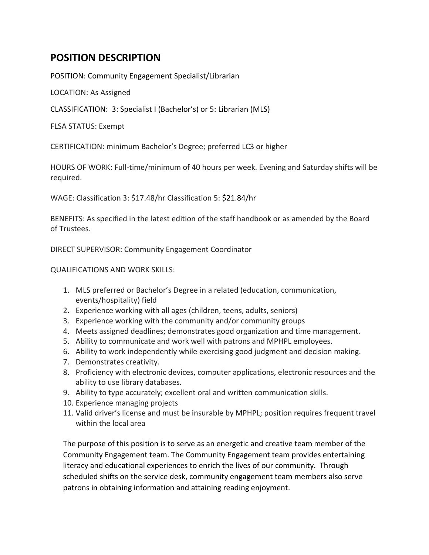## **POSITION DESCRIPTION**

POSITION: Community Engagement Specialist/Librarian

LOCATION: As Assigned

CLASSIFICATION: 3: Specialist I (Bachelor's) or 5: Librarian (MLS)

FLSA STATUS: Exempt

CERTIFICATION: minimum Bachelor's Degree; preferred LC3 or higher

HOURS OF WORK: Full-time/minimum of 40 hours per week. Evening and Saturday shifts will be required.

WAGE: Classification 3: \$17.48/hr Classification 5: \$21.84/hr

BENEFITS: As specified in the latest edition of the staff handbook or as amended by the Board of Trustees.

DIRECT SUPERVISOR: Community Engagement Coordinator

QUALIFICATIONS AND WORK SKILLS:

- 1. MLS preferred or Bachelor's Degree in a related (education, communication, events/hospitality) field
- 2. Experience working with all ages (children, teens, adults, seniors)
- 3. Experience working with the community and/or community groups
- 4. Meets assigned deadlines; demonstrates good organization and time management.
- 5. Ability to communicate and work well with patrons and MPHPL employees.
- 6. Ability to work independently while exercising good judgment and decision making.
- 7. Demonstrates creativity.
- 8. Proficiency with electronic devices, computer applications, electronic resources and the ability to use library databases.
- 9. Ability to type accurately; excellent oral and written communication skills.
- 10. Experience managing projects
- 11. Valid driver's license and must be insurable by MPHPL; position requires frequent travel within the local area

The purpose of this position is to serve as an energetic and creative team member of the Community Engagement team. The Community Engagement team provides entertaining literacy and educational experiences to enrich the lives of our community. Through scheduled shifts on the service desk, community engagement team members also serve patrons in obtaining information and attaining reading enjoyment.